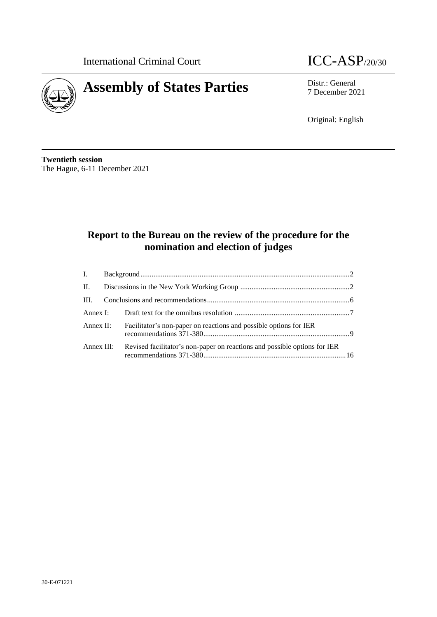

# **Assembly of States Parties** Distr.: General *p* Distr.: General

7 December 2021

Original: English

**Twentieth session** The Hague, 6-11 December 2021

# **Report to the Bureau on the review of the procedure for the nomination and election of judges**

|  | Annex II: Facilitator's non-paper on reactions and possible options for IER          |  |
|--|--------------------------------------------------------------------------------------|--|
|  | Annex III: Revised facilitator's non-paper on reactions and possible options for IER |  |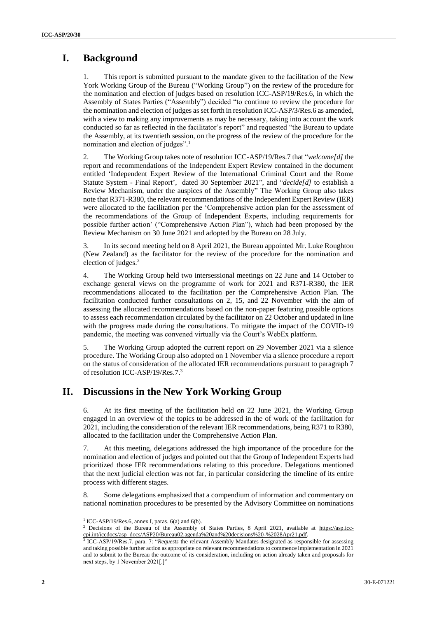## **I. Background**

This report is submitted pursuant to the mandate given to the facilitation of the New York Working Group of the Bureau ("Working Group") on the review of the procedure for the nomination and election of judges based on resolution ICC-ASP/19/Res.6, in which the Assembly of States Parties ("Assembly") decided "to continue to review the procedure for the nomination and election of judges as set forth in resolution ICC-ASP/3/Res.6 as amended, with a view to making any improvements as may be necessary, taking into account the work conducted so far as reflected in the facilitator's report" and requested "the Bureau to update the Assembly, at its twentieth session, on the progress of the review of the procedure for the nomination and election of judges". 1

2. The Working Group takes note of resolution ICC-ASP/19/Res.7 that "*welcome[d]* the report and recommendations of the Independent Expert Review contained in the document entitled 'Independent Expert Review of the International Criminal Court and the Rome Statute System - Final Report', dated 30 September 2021", and "*decide[d]* to establish a Review Mechanism, under the auspices of the Assembly" The Working Group also takes note that R371-R380, the relevant recommendations of the Independent Expert Review (IER) were allocated to the facilitation per the 'Comprehensive action plan for the assessment of the recommendations of the Group of Independent Experts, including requirements for possible further action' ("Comprehensive Action Plan"), which had been proposed by the Review Mechanism on 30 June 2021 and adopted by the Bureau on 28 July.

3. In its second meeting held on 8 April 2021, the Bureau appointed Mr. Luke Roughton (New Zealand) as the facilitator for the review of the procedure for the nomination and election of judges. 2

4. The Working Group held two intersessional meetings on 22 June and 14 October to exchange general views on the programme of work for 2021 and R371-R380, the IER recommendations allocated to the facilitation per the Comprehensive Action Plan. The facilitation conducted further consultations on 2, 15, and 22 November with the aim of assessing the allocated recommendations based on the non-paper featuring possible options to assess each recommendation circulated by the facilitator on 22 October and updated in line with the progress made during the consultations. To mitigate the impact of the COVID-19 pandemic, the meeting was convened virtually via the Court's WebEx platform.

5. The Working Group adopted the current report on 29 November 2021 via a silence procedure. The Working Group also adopted on 1 November via a silence procedure a report on the status of consideration of the allocated IER recommendations pursuant to paragraph 7 of resolution ICC-ASP/19/Res.7.<sup>3</sup>

### **II. Discussions in the New York Working Group**

6. At its first meeting of the facilitation held on 22 June 2021, the Working Group engaged in an overview of the topics to be addressed in the of work of the facilitation for 2021, including the consideration of the relevant IER recommendations, being R371 to R380, allocated to the facilitation under the Comprehensive Action Plan.

7. At this meeting, delegations addressed the high importance of the procedure for the nomination and election of judges and pointed out that the Group of Independent Experts had prioritized those IER recommendations relating to this procedure. Delegations mentioned that the next judicial election was not far, in particular considering the timeline of its entire process with different stages.

8. Some delegations emphasized that a compendium of information and commentary on national nomination procedures to be presented by the Advisory Committee on nominations

 1 ICC-ASP/19/Res.6, annex I, paras. 6(a) and 6(b).

<sup>&</sup>lt;sup>2</sup> Decisions of the Bureau of the Assembly of States Parties, 8 April 2021, available at https://asp.icc-

cpi.int/iccdocs/asp\_docs/ASP20/Bureau02.agenda%20and%20decisions%20-%2028Apr21.pdf. 3 ICC-ASP/19/Res.7. para. 7: "*Requests* the relevant Assembly Mandates designated as responsible for assessing and taking possible further action as appropriate on relevant recommendations to commence implementation in 2021 and to submit to the Bureau the outcome of its consideration, including on action already taken and proposals for next steps, by 1 November 2021[.]"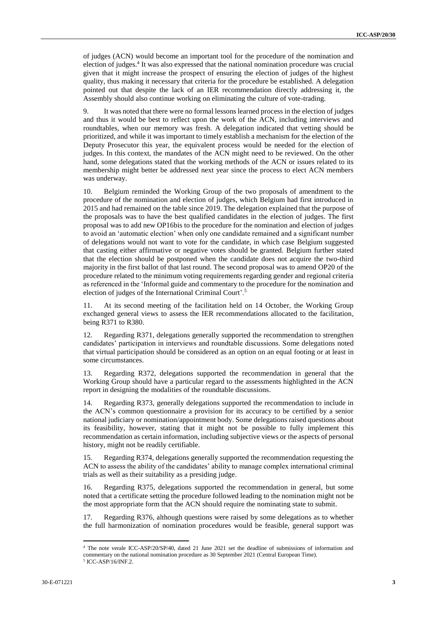of judges (ACN) would become an important tool for the procedure of the nomination and election of judges. 4 It was also expressed that the national nomination procedure was crucial given that it might increase the prospect of ensuring the election of judges of the highest quality, thus making it necessary that criteria for the procedure be established. A delegation pointed out that despite the lack of an IER recommendation directly addressing it, the Assembly should also continue working on eliminating the culture of vote-trading.

9. It was noted that there were no formal lessons learned process in the election of judges and thus it would be best to reflect upon the work of the ACN, including interviews and roundtables, when our memory was fresh. A delegation indicated that vetting should be prioritized, and while it was important to timely establish a mechanism for the election of the Deputy Prosecutor this year, the equivalent process would be needed for the election of judges. In this context, the mandates of the ACN might need to be reviewed. On the other hand, some delegations stated that the working methods of the ACN or issues related to its membership might better be addressed next year since the process to elect ACN members was underway.

10. Belgium reminded the Working Group of the two proposals of amendment to the procedure of the nomination and election of judges, which Belgium had first introduced in 2015 and had remained on the table since 2019. The delegation explained that the purpose of the proposals was to have the best qualified candidates in the election of judges. The first proposal was to add new OP16bis to the procedure for the nomination and election of judges to avoid an 'automatic election' when only one candidate remained and a significant number of delegations would not want to vote for the candidate, in which case Belgium suggested that casting either affirmative or negative votes should be granted. Belgium further stated that the election should be postponed when the candidate does not acquire the two-third majority in the first ballot of that last round. The second proposal was to amend OP20 of the procedure related to the minimum voting requirements regarding gender and regional criteria as referenced in the 'Informal guide and commentary to the procedure for the nomination and election of judges of the International Criminal Court'.<sup>5</sup>

11. At its second meeting of the facilitation held on 14 October, the Working Group exchanged general views to assess the IER recommendations allocated to the facilitation, being R371 to R380.

12. Regarding R371, delegations generally supported the recommendation to strengthen candidates' participation in interviews and roundtable discussions. Some delegations noted that virtual participation should be considered as an option on an equal footing or at least in some circumstances.

13. Regarding R372, delegations supported the recommendation in general that the Working Group should have a particular regard to the assessments highlighted in the ACN report in designing the modalities of the roundtable discussions.

14. Regarding R373, generally delegations supported the recommendation to include in the ACN's common questionnaire a provision for its accuracy to be certified by a senior national judiciary or nomination/appointment body. Some delegations raised questions about its feasibility, however, stating that it might not be possible to fully implement this recommendation as certain information, including subjective views or the aspects of personal history, might not be readily certifiable.

15. Regarding R374, delegations generally supported the recommendation requesting the ACN to assess the ability of the candidates' ability to manage complex international criminal trials as well as their suitability as a presiding judge.

16. Regarding R375, delegations supported the recommendation in general, but some noted that a certificate setting the procedure followed leading to the nomination might not be the most appropriate form that the ACN should require the nominating state to submit.

17. Regarding R376, although questions were raised by some delegations as to whether the full harmonization of nomination procedures would be feasible, general support was

 $\overline{a}$ 

<sup>4</sup> The note verale ICC-ASP/20/SP/40, dated 21 June 2021 set the deadline of submissions of information and commentary on the national nomination procedure as 30 September 2021 (Central European Time).

<sup>5</sup> ICC-ASP/16/INF.2.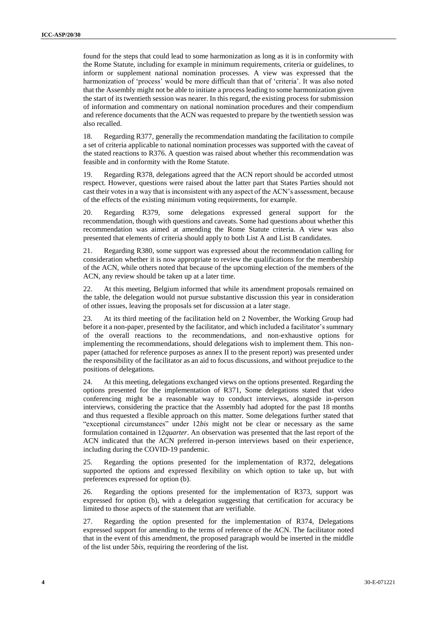found for the steps that could lead to some harmonization as long as it is in conformity with the Rome Statute, including for example in minimum requirements, criteria or guidelines, to inform or supplement national nomination processes. A view was expressed that the harmonization of 'process' would be more difficult than that of 'criteria'. It was also noted that the Assembly might not be able to initiate a process leading to some harmonization given the start of its twentieth session was nearer. In this regard, the existing process for submission of information and commentary on national nomination procedures and their compendium and reference documents that the ACN was requested to prepare by the twentieth session was also recalled.

18. Regarding R377, generally the recommendation mandating the facilitation to compile a set of criteria applicable to national nomination processes was supported with the caveat of the stated reactions to R376. A question was raised about whether this recommendation was feasible and in conformity with the Rome Statute.

19. Regarding R378, delegations agreed that the ACN report should be accorded utmost respect. However, questions were raised about the latter part that States Parties should not cast their votes in a way that is inconsistent with any aspect of the ACN's assessment, because of the effects of the existing minimum voting requirements, for example.

20. Regarding R379, some delegations expressed general support for the recommendation, though with questions and caveats. Some had questions about whether this recommendation was aimed at amending the Rome Statute criteria. A view was also presented that elements of criteria should apply to both List A and List B candidates.

21. Regarding R380, some support was expressed about the recommendation calling for consideration whether it is now appropriate to review the qualifications for the membership of the ACN, while others noted that because of the upcoming election of the members of the ACN, any review should be taken up at a later time.

22. At this meeting, Belgium informed that while its amendment proposals remained on the table, the delegation would not pursue substantive discussion this year in consideration of other issues, leaving the proposals set for discussion at a later stage.

23. At its third meeting of the facilitation held on 2 November, the Working Group had before it a non-paper, presented by the facilitator, and which included a facilitator's summary of the overall reactions to the recommendations, and non-exhaustive options for implementing the recommendations, should delegations wish to implement them. This nonpaper (attached for reference purposes as annex II to the present report) was presented under the responsibility of the facilitator as an aid to focus discussions, and without prejudice to the positions of delegations.

24. At this meeting, delegations exchanged views on the options presented. Regarding the options presented for the implementation of R371, Some delegations stated that video conferencing might be a reasonable way to conduct interviews, alongside in-person interviews, considering the practice that the Assembly had adopted for the past 18 months and thus requested a flexible approach on this matter. Some delegations further stated that "exceptional circumstances" under 12*bis* might not be clear or necessary as the same formulation contained in 12*quarter*. An observation was presented that the last report of the ACN indicated that the ACN preferred in-person interviews based on their experience, including during the COVID-19 pandemic.

25. Regarding the options presented for the implementation of R372, delegations supported the options and expressed flexibility on which option to take up, but with preferences expressed for option (b).

26. Regarding the options presented for the implementation of R373, support was expressed for option (b), with a delegation suggesting that certification for accuracy be limited to those aspects of the statement that are verifiable.

27. Regarding the option presented for the implementation of R374, Delegations expressed support for amending to the terms of reference of the ACN. The facilitator noted that in the event of this amendment, the proposed paragraph would be inserted in the middle of the list under 5*bis,* requiring the reordering of the list.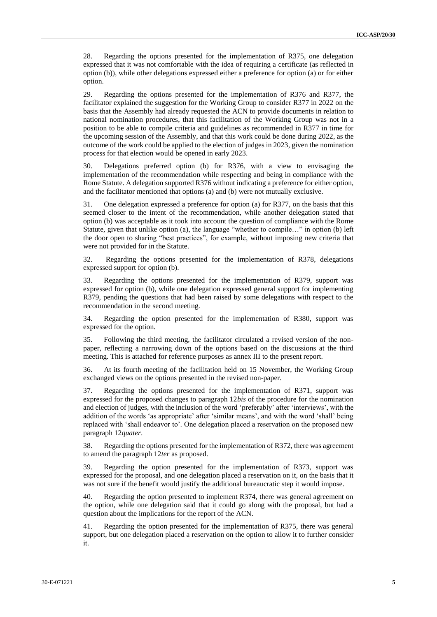28. Regarding the options presented for the implementation of R375, one delegation expressed that it was not comfortable with the idea of requiring a certificate (as reflected in option (b)), while other delegations expressed either a preference for option (a) or for either option.

29. Regarding the options presented for the implementation of R376 and R377, the facilitator explained the suggestion for the Working Group to consider R377 in 2022 on the basis that the Assembly had already requested the ACN to provide documents in relation to national nomination procedures, that this facilitation of the Working Group was not in a position to be able to compile criteria and guidelines as recommended in R377 in time for the upcoming session of the Assembly, and that this work could be done during 2022, as the outcome of the work could be applied to the election of judges in 2023, given the nomination process for that election would be opened in early 2023.

30. Delegations preferred option (b) for R376, with a view to envisaging the implementation of the recommendation while respecting and being in compliance with the Rome Statute. A delegation supported R376 without indicating a preference for either option, and the facilitator mentioned that options (a) and (b) were not mutually exclusive.

31. One delegation expressed a preference for option (a) for R377, on the basis that this seemed closer to the intent of the recommendation, while another delegation stated that option (b) was acceptable as it took into account the question of compliance with the Rome Statute, given that unlike option (a), the language "whether to compile…" in option (b) left the door open to sharing "best practices", for example, without imposing new criteria that were not provided for in the Statute.

32. Regarding the options presented for the implementation of R378, delegations expressed support for option (b).

33. Regarding the options presented for the implementation of R379, support was expressed for option (b), while one delegation expressed general support for implementing R379, pending the questions that had been raised by some delegations with respect to the recommendation in the second meeting.

34. Regarding the option presented for the implementation of R380, support was expressed for the option.

35. Following the third meeting, the facilitator circulated a revised version of the nonpaper, reflecting a narrowing down of the options based on the discussions at the third meeting. This is attached for reference purposes as annex III to the present report.

36. At its fourth meeting of the facilitation held on 15 November, the Working Group exchanged views on the options presented in the revised non-paper.

37. Regarding the options presented for the implementation of R371, support was expressed for the proposed changes to paragraph 12*bis* of the procedure for the nomination and election of judges, with the inclusion of the word 'preferably' after 'interviews', with the addition of the words 'as appropriate' after 'similar means', and with the word 'shall' being replaced with 'shall endeavor to'. One delegation placed a reservation on the proposed new paragraph 12*quater*.

38. Regarding the options presented for the implementation of R372, there was agreement to amend the paragraph 12*ter* as proposed.

39. Regarding the option presented for the implementation of R373, support was expressed for the proposal, and one delegation placed a reservation on it, on the basis that it was not sure if the benefit would justify the additional bureaucratic step it would impose.

40. Regarding the option presented to implement R374, there was general agreement on the option, while one delegation said that it could go along with the proposal, but had a question about the implications for the report of the ACN.

41. Regarding the option presented for the implementation of R375, there was general support, but one delegation placed a reservation on the option to allow it to further consider it.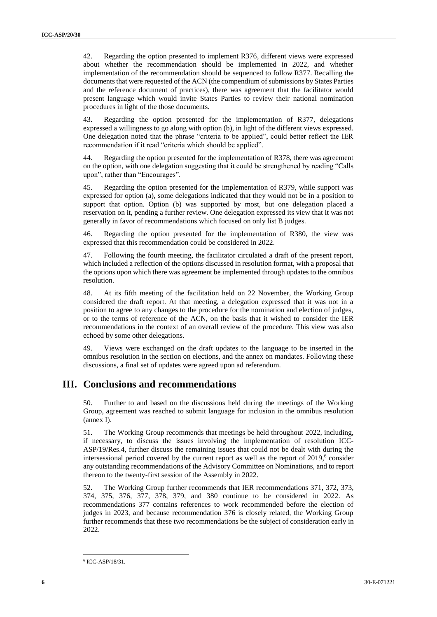42. Regarding the option presented to implement R376, different views were expressed about whether the recommendation should be implemented in 2022, and whether implementation of the recommendation should be sequenced to follow R377. Recalling the documents that were requested of the ACN (the compendium of submissions by States Parties and the reference document of practices), there was agreement that the facilitator would present language which would invite States Parties to review their national nomination procedures in light of the those documents.

43. Regarding the option presented for the implementation of R377, delegations expressed a willingness to go along with option (b), in light of the different views expressed. One delegation noted that the phrase "criteria to be applied", could better reflect the IER recommendation if it read "criteria which should be applied".

44. Regarding the option presented for the implementation of R378, there was agreement on the option, with one delegation suggesting that it could be strengthened by reading "Calls upon", rather than "Encourages".

45. Regarding the option presented for the implementation of R379, while support was expressed for option (a), some delegations indicated that they would not be in a position to support that option. Option (b) was supported by most, but one delegation placed a reservation on it, pending a further review. One delegation expressed its view that it was not generally in favor of recommendations which focused on only list B judges.

46. Regarding the option presented for the implementation of R380, the view was expressed that this recommendation could be considered in 2022.

47. Following the fourth meeting, the facilitator circulated a draft of the present report, which included a reflection of the options discussed in resolution format, with a proposal that the options upon which there was agreement be implemented through updates to the omnibus resolution.

48. At its fifth meeting of the facilitation held on 22 November, the Working Group considered the draft report. At that meeting, a delegation expressed that it was not in a position to agree to any changes to the procedure for the nomination and election of judges, or to the terms of reference of the ACN, on the basis that it wished to consider the IER recommendations in the context of an overall review of the procedure. This view was also echoed by some other delegations.

49. Views were exchanged on the draft updates to the language to be inserted in the omnibus resolution in the section on elections, and the annex on mandates. Following these discussions, a final set of updates were agreed upon ad referendum.

#### **III. Conclusions and recommendations**

50. Further to and based on the discussions held during the meetings of the Working Group, agreement was reached to submit language for inclusion in the omnibus resolution (annex I).

51. The Working Group recommends that meetings be held throughout 2022, including, if necessary, to discuss the issues involving the implementation of resolution ICC-ASP/19/Res.4, further discuss the remaining issues that could not be dealt with during the intersessional period covered by the current report as well as the report of 2019, 6 consider any outstanding recommendations of the Advisory Committee on Nominations, and to report thereon to the twenty-first session of the Assembly in 2022.

52. The Working Group further recommends that IER recommendations 371, 372, 373, 374, 375, 376, 377, 378, 379, and 380 continue to be considered in 2022. As recommendations 377 contains references to work recommended before the election of judges in 2023, and because recommendation 376 is closely related, the Working Group further recommends that these two recommendations be the subject of consideration early in 2022.

 $\overline{a}$ 

<sup>6</sup> ICC-ASP/18/31.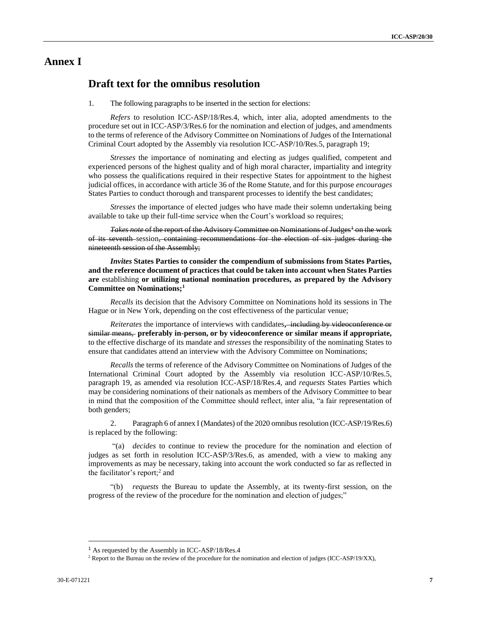### **Annex I**

#### **Draft text for the omnibus resolution**

1. The following paragraphs to be inserted in the section for elections:

*Refers* to resolution ICC-ASP/18/Res.4, which, inter alia, adopted amendments to the procedure set out in ICC-ASP/3/Res.6 for the nomination and election of judges, and amendments to the terms of reference of the Advisory Committee on Nominations of Judges of the International Criminal Court adopted by the Assembly via resolution ICC-ASP/10/Res.5, paragraph 19;

*Stresses* the importance of nominating and electing as judges qualified, competent and experienced persons of the highest quality and of high moral character, impartiality and integrity who possess the qualifications required in their respective States for appointment to the highest judicial offices, in accordance with article 36 of the Rome Statute, and for this purpose *encourages*  States Parties to conduct thorough and transparent processes to identify the best candidates;

*Stresses* the importance of elected judges who have made their solemn undertaking being available to take up their full-time service when the Court's workload so requires;

*Takes note* of the report of the Advisory Committee on Nominations of Judges<sup>1</sup> on the work of its seventh session, containing recommendations for the election of six judges during the nineteenth session of the Assembly;

*Invites* **States Parties to consider the compendium of submissions from States Parties, and the reference document of practices that could be taken into account when States Parties are** establishing **or utilizing national nomination procedures, as prepared by the Advisory Committee on Nominations;<sup>1</sup>**

*Recalls* its decision that the Advisory Committee on Nominations hold its sessions in The Hague or in New York, depending on the cost effectiveness of the particular venue;

*Reiterates* the importance of interviews with candidates**,** including by videoconference or similar means, **preferably in-person, or by videoconference or similar means if appropriate,** to the effective discharge of its mandate and *stresses* the responsibility of the nominating States to ensure that candidates attend an interview with the Advisory Committee on Nominations;

*Recalls* the terms of reference of the Advisory Committee on Nominations of Judges of the International Criminal Court adopted by the Assembly via resolution ICC-ASP/10/Res.5, paragraph 19, as amended via resolution ICC-ASP/18/Res.4, and *requests* States Parties which may be considering nominations of their nationals as members of the Advisory Committee to bear in mind that the composition of the Committee should reflect, inter alia, "a fair representation of both genders;

2. Paragraph 6 of annex I (Mandates) of the 2020 omnibus resolution (ICC-ASP/19/Res.6) is replaced by the following:

"(a) *decides* to continue to review the procedure for the nomination and election of judges as set forth in resolution ICC-ASP/3/Res.6, as amended, with a view to making any improvements as may be necessary, taking into account the work conducted so far as reflected in the facilitator's report;<sup>2</sup> and

"(b) *requests* the Bureau to update the Assembly, at its twenty-first session, on the progress of the review of the procedure for the nomination and election of judges;"

 $\overline{a}$ 

<sup>&</sup>lt;sup>1</sup> As requested by the Assembly in ICC-ASP/18/Res.4

<sup>&</sup>lt;sup>2</sup> Report to the Bureau on the review of the procedure for the nomination and election of judges (ICC-ASP/19/XX),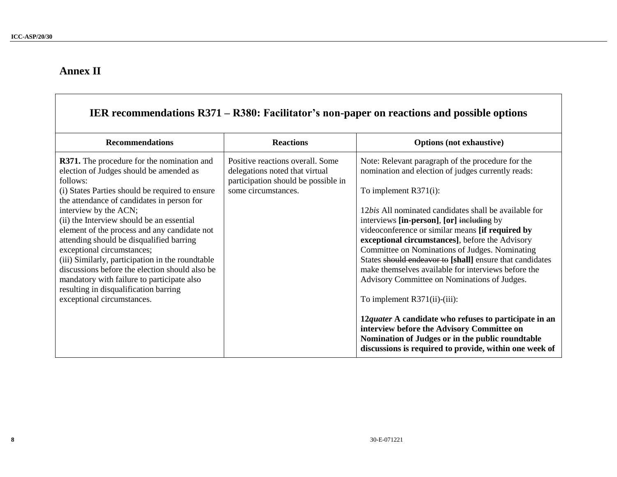# **Annex II**

П

|                                                                                                                                                                                                                                                                                                                                                                                                                                                                                                                                                                                                                                      |                                                                                                                                  | IER recommendations R371 – R380: Facilitator's non-paper on reactions and possible options                                                                                                                                                                                                                                                                                                                                                                                                                                                                                                                       |
|--------------------------------------------------------------------------------------------------------------------------------------------------------------------------------------------------------------------------------------------------------------------------------------------------------------------------------------------------------------------------------------------------------------------------------------------------------------------------------------------------------------------------------------------------------------------------------------------------------------------------------------|----------------------------------------------------------------------------------------------------------------------------------|------------------------------------------------------------------------------------------------------------------------------------------------------------------------------------------------------------------------------------------------------------------------------------------------------------------------------------------------------------------------------------------------------------------------------------------------------------------------------------------------------------------------------------------------------------------------------------------------------------------|
| <b>Recommendations</b>                                                                                                                                                                                                                                                                                                                                                                                                                                                                                                                                                                                                               | <b>Reactions</b>                                                                                                                 | <b>Options</b> (not exhaustive)                                                                                                                                                                                                                                                                                                                                                                                                                                                                                                                                                                                  |
| <b>R371.</b> The procedure for the nomination and<br>election of Judges should be amended as<br>follows:<br>(i) States Parties should be required to ensure<br>the attendance of candidates in person for<br>interview by the ACN;<br>(ii) the Interview should be an essential<br>element of the process and any candidate not<br>attending should be disqualified barring<br>exceptional circumstances;<br>(iii) Similarly, participation in the roundtable<br>discussions before the election should also be<br>mandatory with failure to participate also<br>resulting in disqualification barring<br>exceptional circumstances. | Positive reactions overall. Some<br>delegations noted that virtual<br>participation should be possible in<br>some circumstances. | Note: Relevant paragraph of the procedure for the<br>nomination and election of judges currently reads:<br>To implement $R371(i)$ :<br>12 <i>bis</i> All nominated candidates shall be available for<br>interviews [in-person], [or] including by<br>videoconference or similar means [if required by<br>exceptional circumstances], before the Advisory<br>Committee on Nominations of Judges. Nominating<br>States should endeavor to [shall] ensure that candidates<br>make themselves available for interviews before the<br>Advisory Committee on Nominations of Judges.<br>To implement $R371(ii)$ -(iii): |
|                                                                                                                                                                                                                                                                                                                                                                                                                                                                                                                                                                                                                                      |                                                                                                                                  | 12quater A candidate who refuses to participate in an<br>interview before the Advisory Committee on<br>Nomination of Judges or in the public roundtable<br>discussions is required to provide, within one week of                                                                                                                                                                                                                                                                                                                                                                                                |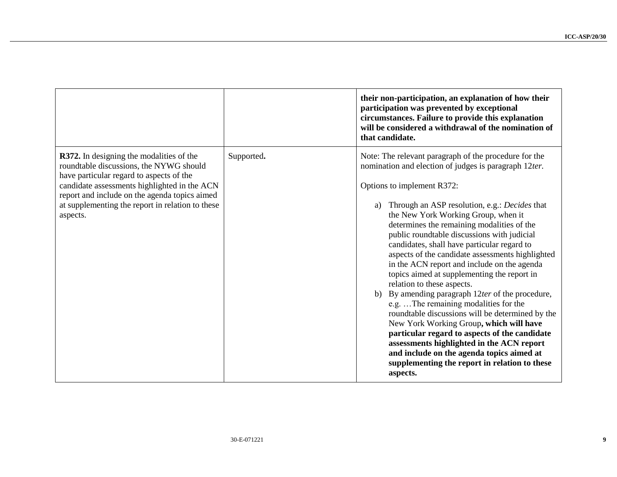|                                                                                                                                                                                                                                                                                                         |            | their non-participation, an explanation of how their<br>participation was prevented by exceptional<br>circumstances. Failure to provide this explanation<br>will be considered a withdrawal of the nomination of<br>that candidate.                                                                                                                                                                                                                                                                                                                                                                                                                                                                                                                                                                                                                                                                                                                                                |
|---------------------------------------------------------------------------------------------------------------------------------------------------------------------------------------------------------------------------------------------------------------------------------------------------------|------------|------------------------------------------------------------------------------------------------------------------------------------------------------------------------------------------------------------------------------------------------------------------------------------------------------------------------------------------------------------------------------------------------------------------------------------------------------------------------------------------------------------------------------------------------------------------------------------------------------------------------------------------------------------------------------------------------------------------------------------------------------------------------------------------------------------------------------------------------------------------------------------------------------------------------------------------------------------------------------------|
| <b>R372.</b> In designing the modalities of the<br>roundtable discussions, the NYWG should<br>have particular regard to aspects of the<br>candidate assessments highlighted in the ACN<br>report and include on the agenda topics aimed<br>at supplementing the report in relation to these<br>aspects. | Supported. | Note: The relevant paragraph of the procedure for the<br>nomination and election of judges is paragraph 12ter.<br>Options to implement R372:<br>a) Through an ASP resolution, e.g.: <i>Decides</i> that<br>the New York Working Group, when it<br>determines the remaining modalities of the<br>public roundtable discussions with judicial<br>candidates, shall have particular regard to<br>aspects of the candidate assessments highlighted<br>in the ACN report and include on the agenda<br>topics aimed at supplementing the report in<br>relation to these aspects.<br>b) By amending paragraph $12$ ter of the procedure,<br>e.g.  The remaining modalities for the<br>roundtable discussions will be determined by the<br>New York Working Group, which will have<br>particular regard to aspects of the candidate<br>assessments highlighted in the ACN report<br>and include on the agenda topics aimed at<br>supplementing the report in relation to these<br>aspects. |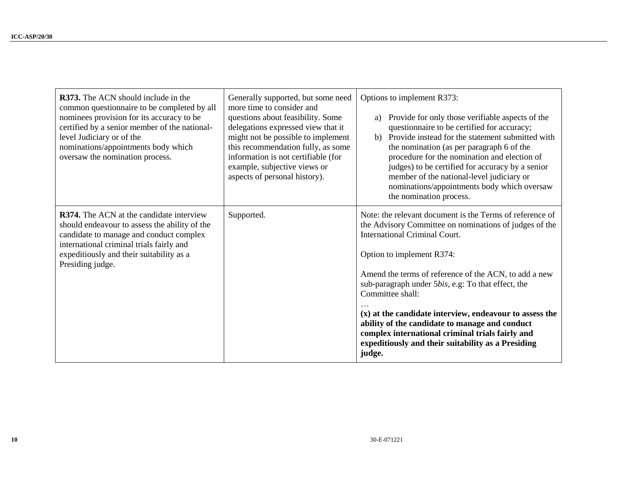| <b>R373.</b> The ACN should include in the<br>common questionnaire to be completed by all<br>nominees provision for its accuracy to be<br>certified by a senior member of the national-<br>level Judiciary or of the<br>nominations/appointments body which<br>oversaw the nomination process. | Generally supported, but some need<br>more time to consider and<br>questions about feasibility. Some<br>delegations expressed view that it<br>might not be possible to implement<br>this recommendation fully, as some<br>information is not certifiable (for<br>example, subjective views or<br>aspects of personal history). | Options to implement R373:<br>Provide for only those verifiable aspects of the<br>a)<br>questionnaire to be certified for accuracy;<br>b) Provide instead for the statement submitted with<br>the nomination (as per paragraph 6 of the<br>procedure for the nomination and election of<br>judges) to be certified for accuracy by a senior<br>member of the national-level judiciary or<br>nominations/appointments body which oversaw<br>the nomination process.                                                                                          |
|------------------------------------------------------------------------------------------------------------------------------------------------------------------------------------------------------------------------------------------------------------------------------------------------|--------------------------------------------------------------------------------------------------------------------------------------------------------------------------------------------------------------------------------------------------------------------------------------------------------------------------------|-------------------------------------------------------------------------------------------------------------------------------------------------------------------------------------------------------------------------------------------------------------------------------------------------------------------------------------------------------------------------------------------------------------------------------------------------------------------------------------------------------------------------------------------------------------|
| R374. The ACN at the candidate interview<br>should endeavour to assess the ability of the<br>candidate to manage and conduct complex<br>international criminal trials fairly and<br>expeditiously and their suitability as a<br>Presiding judge.                                               | Supported.                                                                                                                                                                                                                                                                                                                     | Note: the relevant document is the Terms of reference of<br>the Advisory Committee on nominations of judges of the<br><b>International Criminal Court.</b><br>Option to implement R374:<br>Amend the terms of reference of the ACN, to add a new<br>sub-paragraph under 5bis, e.g: To that effect, the<br>Committee shall:<br>(x) at the candidate interview, endeavour to assess the<br>ability of the candidate to manage and conduct<br>complex international criminal trials fairly and<br>expeditiously and their suitability as a Presiding<br>judge. |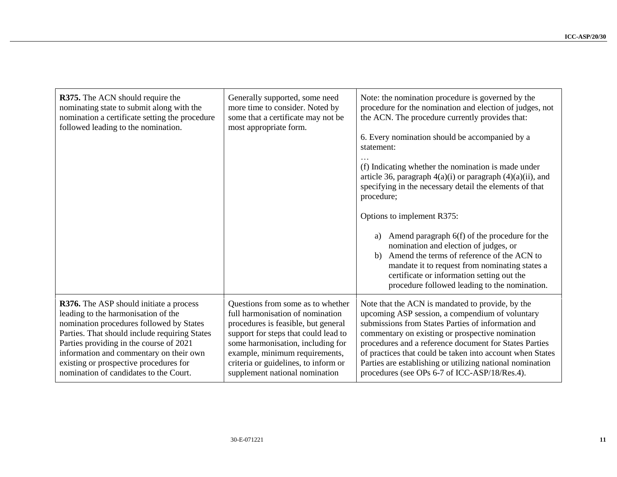| R375. The ACN should require the<br>nominating state to submit along with the<br>nomination a certificate setting the procedure<br>followed leading to the nomination. | Generally supported, some need<br>more time to consider. Noted by<br>some that a certificate may not be<br>most appropriate form. | Note: the nomination procedure is governed by the<br>procedure for the nomination and election of judges, not<br>the ACN. The procedure currently provides that:<br>6. Every nomination should be accompanied by a<br>statement:<br>(f) Indicating whether the nomination is made under<br>article 36, paragraph $4(a)(i)$ or paragraph $(4)(a)(ii)$ , and<br>specifying in the necessary detail the elements of that<br>procedure;<br>Options to implement R375:<br>Amend paragraph 6(f) of the procedure for the<br>a)<br>nomination and election of judges, or<br>Amend the terms of reference of the ACN to<br>b)<br>mandate it to request from nominating states a<br>certificate or information setting out the<br>procedure followed leading to the nomination. |
|------------------------------------------------------------------------------------------------------------------------------------------------------------------------|-----------------------------------------------------------------------------------------------------------------------------------|------------------------------------------------------------------------------------------------------------------------------------------------------------------------------------------------------------------------------------------------------------------------------------------------------------------------------------------------------------------------------------------------------------------------------------------------------------------------------------------------------------------------------------------------------------------------------------------------------------------------------------------------------------------------------------------------------------------------------------------------------------------------|
| R376. The ASP should initiate a process                                                                                                                                | Questions from some as to whether                                                                                                 | Note that the ACN is mandated to provide, by the                                                                                                                                                                                                                                                                                                                                                                                                                                                                                                                                                                                                                                                                                                                       |
| leading to the harmonisation of the                                                                                                                                    | full harmonisation of nomination                                                                                                  | upcoming ASP session, a compendium of voluntary                                                                                                                                                                                                                                                                                                                                                                                                                                                                                                                                                                                                                                                                                                                        |
| nomination procedures followed by States                                                                                                                               | procedures is feasible, but general                                                                                               | submissions from States Parties of information and                                                                                                                                                                                                                                                                                                                                                                                                                                                                                                                                                                                                                                                                                                                     |
| Parties. That should include requiring States                                                                                                                          | support for steps that could lead to                                                                                              | commentary on existing or prospective nomination                                                                                                                                                                                                                                                                                                                                                                                                                                                                                                                                                                                                                                                                                                                       |
| Parties providing in the course of 2021                                                                                                                                | some harmonisation, including for                                                                                                 | procedures and a reference document for States Parties                                                                                                                                                                                                                                                                                                                                                                                                                                                                                                                                                                                                                                                                                                                 |
| information and commentary on their own                                                                                                                                | example, minimum requirements,                                                                                                    | of practices that could be taken into account when States                                                                                                                                                                                                                                                                                                                                                                                                                                                                                                                                                                                                                                                                                                              |
| existing or prospective procedures for                                                                                                                                 | criteria or guidelines, to inform or                                                                                              | Parties are establishing or utilizing national nomination                                                                                                                                                                                                                                                                                                                                                                                                                                                                                                                                                                                                                                                                                                              |
| nomination of candidates to the Court.                                                                                                                                 | supplement national nomination                                                                                                    | procedures (see OPs 6-7 of ICC-ASP/18/Res.4).                                                                                                                                                                                                                                                                                                                                                                                                                                                                                                                                                                                                                                                                                                                          |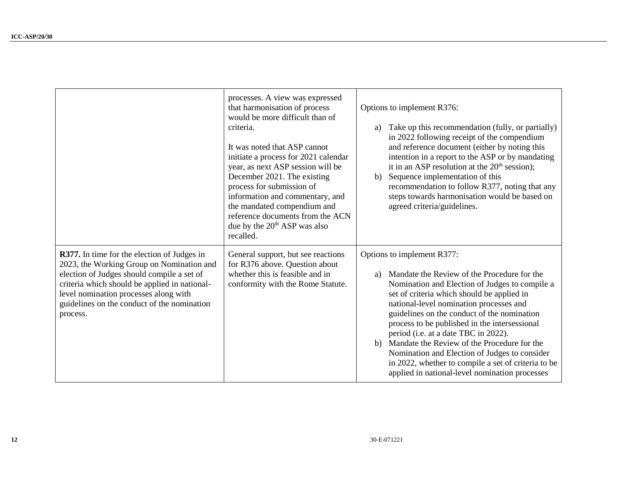|                                                                                                                                                                                                                                                                                             | processes. A view was expressed<br>that harmonisation of process<br>would be more difficult than of<br>criteria.<br>It was noted that ASP cannot<br>initiate a process for 2021 calendar<br>year, as next ASP session will be<br>December 2021. The existing<br>process for submission of<br>information and commentary, and<br>the mandated compendium and<br>reference documents from the ACN<br>due by the 20 <sup>th</sup> ASP was also<br>recalled. | Options to implement R376:<br>Take up this recommendation (fully, or partially)<br>a)<br>in 2022 following receipt of the compendium<br>and reference document (either by noting this<br>intention in a report to the ASP or by mandating<br>it in an ASP resolution at the $20th$ session);<br>Sequence implementation of this<br>b)<br>recommendation to follow R377, noting that any<br>steps towards harmonisation would be based on<br>agreed criteria/guidelines.                                                                                                        |
|---------------------------------------------------------------------------------------------------------------------------------------------------------------------------------------------------------------------------------------------------------------------------------------------|----------------------------------------------------------------------------------------------------------------------------------------------------------------------------------------------------------------------------------------------------------------------------------------------------------------------------------------------------------------------------------------------------------------------------------------------------------|--------------------------------------------------------------------------------------------------------------------------------------------------------------------------------------------------------------------------------------------------------------------------------------------------------------------------------------------------------------------------------------------------------------------------------------------------------------------------------------------------------------------------------------------------------------------------------|
| R377. In time for the election of Judges in<br>2023, the Working Group on Nomination and<br>election of Judges should compile a set of<br>criteria which should be applied in national-<br>level nomination processes along with<br>guidelines on the conduct of the nomination<br>process. | General support, but see reactions<br>for R376 above. Question about<br>whether this is feasible and in<br>conformity with the Rome Statute.                                                                                                                                                                                                                                                                                                             | Options to implement R377:<br>Mandate the Review of the Procedure for the<br>a)<br>Nomination and Election of Judges to compile a<br>set of criteria which should be applied in<br>national-level nomination processes and<br>guidelines on the conduct of the nomination<br>process to be published in the intersessional<br>period (i.e. at a date TBC in 2022).<br>b) Mandate the Review of the Procedure for the<br>Nomination and Election of Judges to consider<br>in 2022, whether to compile a set of criteria to be<br>applied in national-level nomination processes |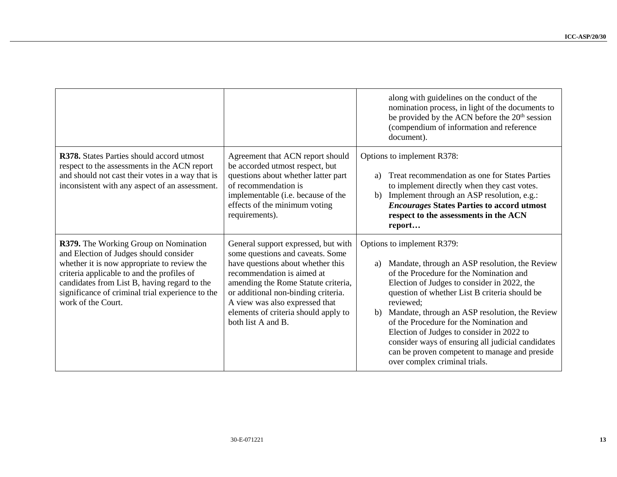|                                                                                                                                                                                                                                                                                                        |                                                                                                                                                                                                                                                                                                                          | along with guidelines on the conduct of the<br>nomination process, in light of the documents to<br>be provided by the ACN before the 20 <sup>th</sup> session<br>(compendium of information and reference<br>document).                                                                                                                                                                                                                                                                                                        |
|--------------------------------------------------------------------------------------------------------------------------------------------------------------------------------------------------------------------------------------------------------------------------------------------------------|--------------------------------------------------------------------------------------------------------------------------------------------------------------------------------------------------------------------------------------------------------------------------------------------------------------------------|--------------------------------------------------------------------------------------------------------------------------------------------------------------------------------------------------------------------------------------------------------------------------------------------------------------------------------------------------------------------------------------------------------------------------------------------------------------------------------------------------------------------------------|
| R378. States Parties should accord utmost<br>respect to the assessments in the ACN report<br>and should not cast their votes in a way that is<br>inconsistent with any aspect of an assessment.                                                                                                        | Agreement that ACN report should<br>be accorded utmost respect, but<br>questions about whether latter part<br>of recommendation is<br>implementable (i.e. because of the<br>effects of the minimum voting<br>requirements).                                                                                              | Options to implement R378:<br>Treat recommendation as one for States Parties<br>a)<br>to implement directly when they cast votes.<br>b) Implement through an ASP resolution, e.g.:<br><b>Encourages States Parties to accord utmost</b><br>respect to the assessments in the ACN<br>report                                                                                                                                                                                                                                     |
| R379. The Working Group on Nomination<br>and Election of Judges should consider<br>whether it is now appropriate to review the<br>criteria applicable to and the profiles of<br>candidates from List B, having regard to the<br>significance of criminal trial experience to the<br>work of the Court. | General support expressed, but with<br>some questions and caveats. Some<br>have questions about whether this<br>recommendation is aimed at<br>amending the Rome Statute criteria,<br>or additional non-binding criteria.<br>A view was also expressed that<br>elements of criteria should apply to<br>both list A and B. | Options to implement R379:<br>Mandate, through an ASP resolution, the Review<br>a)<br>of the Procedure for the Nomination and<br>Election of Judges to consider in 2022, the<br>question of whether List B criteria should be<br>reviewed:<br>b) Mandate, through an ASP resolution, the Review<br>of the Procedure for the Nomination and<br>Election of Judges to consider in 2022 to<br>consider ways of ensuring all judicial candidates<br>can be proven competent to manage and preside<br>over complex criminal trials. |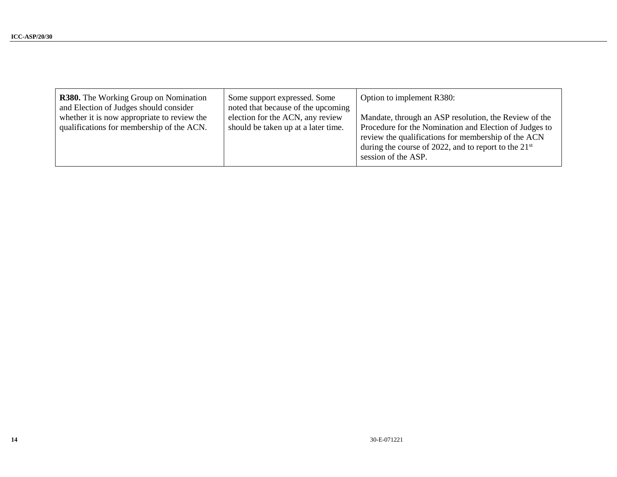| <b>R380.</b> The Working Group on Nomination<br>and Election of Judges should consider<br>whether it is now appropriate to review the<br>qualifications for membership of the ACN. | Some support expressed. Some<br>noted that because of the upcoming<br>election for the ACN, any review<br>should be taken up at a later time. | Option to implement R380:<br>Mandate, through an ASP resolution, the Review of the<br>Procedure for the Nomination and Election of Judges to<br>review the qualifications for membership of the ACN<br>during the course of 2022, and to report to the $21st$<br>session of the ASP. |
|------------------------------------------------------------------------------------------------------------------------------------------------------------------------------------|-----------------------------------------------------------------------------------------------------------------------------------------------|--------------------------------------------------------------------------------------------------------------------------------------------------------------------------------------------------------------------------------------------------------------------------------------|
|------------------------------------------------------------------------------------------------------------------------------------------------------------------------------------|-----------------------------------------------------------------------------------------------------------------------------------------------|--------------------------------------------------------------------------------------------------------------------------------------------------------------------------------------------------------------------------------------------------------------------------------------|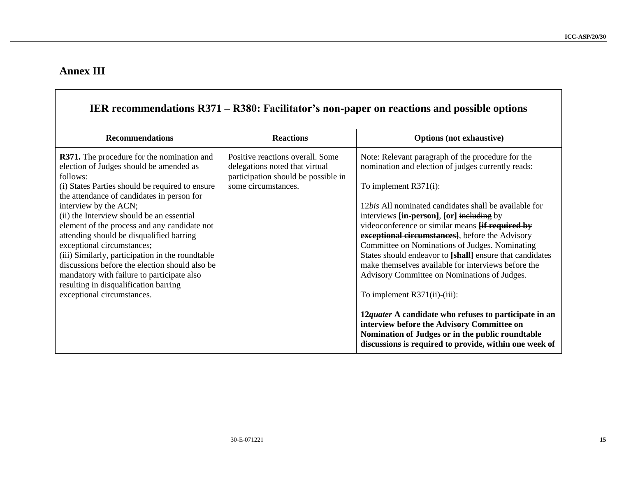# **Annex III**

|                                                                                                                                                                                                                                                                                                                                                                                                                                         |                                                                                                                                  | IER recommendations R371 – R380: Facilitator's non-paper on reactions and possible options                                                                                                                                                                                                                                                                                                                                                    |
|-----------------------------------------------------------------------------------------------------------------------------------------------------------------------------------------------------------------------------------------------------------------------------------------------------------------------------------------------------------------------------------------------------------------------------------------|----------------------------------------------------------------------------------------------------------------------------------|-----------------------------------------------------------------------------------------------------------------------------------------------------------------------------------------------------------------------------------------------------------------------------------------------------------------------------------------------------------------------------------------------------------------------------------------------|
| <b>Recommendations</b>                                                                                                                                                                                                                                                                                                                                                                                                                  | <b>Reactions</b>                                                                                                                 | <b>Options</b> (not exhaustive)                                                                                                                                                                                                                                                                                                                                                                                                               |
| <b>R371.</b> The procedure for the nomination and<br>election of Judges should be amended as<br>follows:<br>(i) States Parties should be required to ensure                                                                                                                                                                                                                                                                             | Positive reactions overall. Some<br>delegations noted that virtual<br>participation should be possible in<br>some circumstances. | Note: Relevant paragraph of the procedure for the<br>nomination and election of judges currently reads:<br>To implement $R371(i)$ :                                                                                                                                                                                                                                                                                                           |
| the attendance of candidates in person for<br>interview by the ACN;<br>(ii) the Interview should be an essential<br>element of the process and any candidate not<br>attending should be disqualified barring<br>exceptional circumstances;<br>(iii) Similarly, participation in the roundtable<br>discussions before the election should also be<br>mandatory with failure to participate also<br>resulting in disqualification barring |                                                                                                                                  | 12 <i>bis</i> All nominated candidates shall be available for<br>interviews [in-person], [or] including by<br>videoconference or similar means <b>Hif required by</b><br>exceptional circumstances], before the Advisory<br>Committee on Nominations of Judges. Nominating<br>States should endeavor to [shall] ensure that candidates<br>make themselves available for interviews before the<br>Advisory Committee on Nominations of Judges. |
| exceptional circumstances.                                                                                                                                                                                                                                                                                                                                                                                                              |                                                                                                                                  | To implement R371(ii)-(iii):<br>12quater A candidate who refuses to participate in an<br>interview before the Advisory Committee on<br>Nomination of Judges or in the public roundtable<br>discussions is required to provide, within one week of                                                                                                                                                                                             |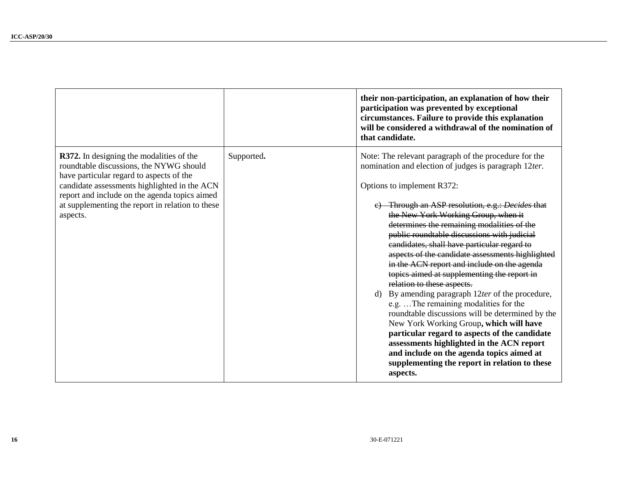|                                                                                                                                                                                                                                                                                                  |            | their non-participation, an explanation of how their<br>participation was prevented by exceptional<br>circumstances. Failure to provide this explanation<br>will be considered a withdrawal of the nomination of<br>that candidate.                                                                                                                                                                                                                                                                                                                                                                                                                                                                                                                                                                                                                                                                                                                                         |
|--------------------------------------------------------------------------------------------------------------------------------------------------------------------------------------------------------------------------------------------------------------------------------------------------|------------|-----------------------------------------------------------------------------------------------------------------------------------------------------------------------------------------------------------------------------------------------------------------------------------------------------------------------------------------------------------------------------------------------------------------------------------------------------------------------------------------------------------------------------------------------------------------------------------------------------------------------------------------------------------------------------------------------------------------------------------------------------------------------------------------------------------------------------------------------------------------------------------------------------------------------------------------------------------------------------|
| R372. In designing the modalities of the<br>roundtable discussions, the NYWG should<br>have particular regard to aspects of the<br>candidate assessments highlighted in the ACN<br>report and include on the agenda topics aimed<br>at supplementing the report in relation to these<br>aspects. | Supported. | Note: The relevant paragraph of the procedure for the<br>nomination and election of judges is paragraph 12ter.<br>Options to implement R372:<br>e) Through an ASP resolution, e.g.: Decides that<br>the New York Working Group, when it<br>determines the remaining modalities of the<br>public roundtable discussions with judicial<br>candidates, shall have particular regard to<br>aspects of the candidate assessments highlighted<br>in the ACN report and include on the agenda<br>topics aimed at supplementing the report in<br>relation to these aspects.<br>d) By amending paragraph $12$ ter of the procedure,<br>e.g.  The remaining modalities for the<br>roundtable discussions will be determined by the<br>New York Working Group, which will have<br>particular regard to aspects of the candidate<br>assessments highlighted in the ACN report<br>and include on the agenda topics aimed at<br>supplementing the report in relation to these<br>aspects. |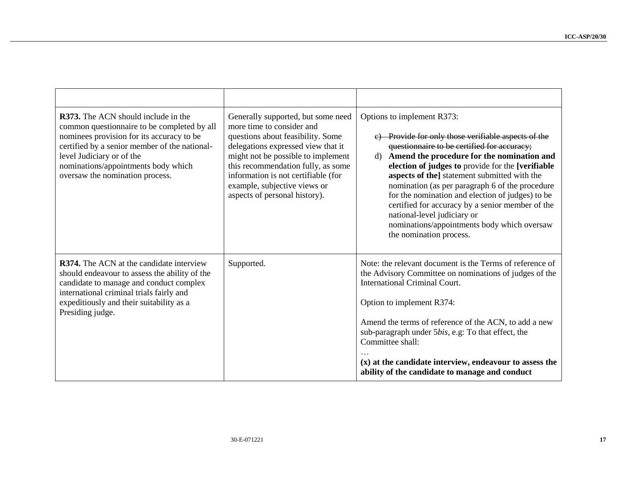| R373. The ACN should include in the<br>common questionnaire to be completed by all<br>nominees provision for its accuracy to be<br>certified by a senior member of the national-<br>level Judiciary or of the<br>nominations/appointments body which<br>oversaw the nomination process. | Generally supported, but some need<br>more time to consider and<br>questions about feasibility. Some<br>delegations expressed view that it<br>might not be possible to implement<br>this recommendation fully, as some<br>information is not certifiable (for<br>example, subjective views or<br>aspects of personal history). | Options to implement R373:<br>c) Provide for only those verifiable aspects of the<br>questionnaire to be certified for accuracy;<br>d) Amend the procedure for the nomination and<br>election of judges to provide for the [verifiable<br>aspects of the] statement submitted with the<br>nomination (as per paragraph 6 of the procedure<br>for the nomination and election of judges) to be<br>certified for accuracy by a senior member of the<br>national-level judiciary or<br>nominations/appointments body which oversaw<br>the nomination process. |
|-----------------------------------------------------------------------------------------------------------------------------------------------------------------------------------------------------------------------------------------------------------------------------------------|--------------------------------------------------------------------------------------------------------------------------------------------------------------------------------------------------------------------------------------------------------------------------------------------------------------------------------|------------------------------------------------------------------------------------------------------------------------------------------------------------------------------------------------------------------------------------------------------------------------------------------------------------------------------------------------------------------------------------------------------------------------------------------------------------------------------------------------------------------------------------------------------------|
| R374. The ACN at the candidate interview<br>should endeavour to assess the ability of the<br>candidate to manage and conduct complex<br>international criminal trials fairly and<br>expeditiously and their suitability as a<br>Presiding judge.                                        | Supported.                                                                                                                                                                                                                                                                                                                     | Note: the relevant document is the Terms of reference of<br>the Advisory Committee on nominations of judges of the<br><b>International Criminal Court.</b><br>Option to implement R374:<br>Amend the terms of reference of the ACN, to add a new<br>sub-paragraph under 5bis, e.g: To that effect, the<br>Committee shall:<br>(x) at the candidate interview, endeavour to assess the<br>ability of the candidate to manage and conduct                                                                                                                    |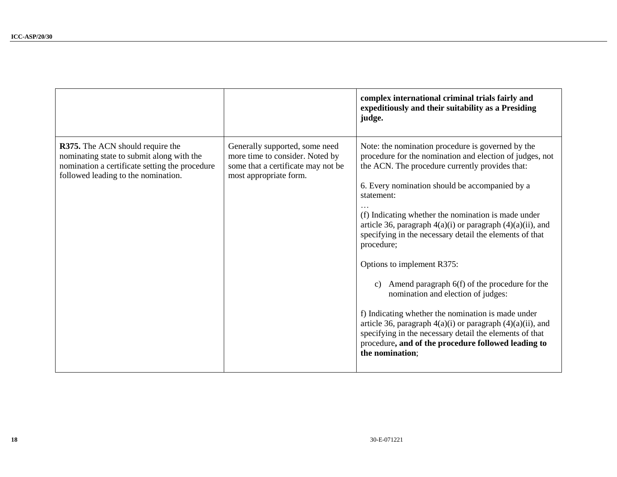|                                                                                                                                                                        |                                                                                                                                   | complex international criminal trials fairly and<br>expeditiously and their suitability as a Presiding<br>judge.                                                                                                                                                                                                                                                                                                                                                                                                                                                                                                                                                                                                                                                                                                                        |
|------------------------------------------------------------------------------------------------------------------------------------------------------------------------|-----------------------------------------------------------------------------------------------------------------------------------|-----------------------------------------------------------------------------------------------------------------------------------------------------------------------------------------------------------------------------------------------------------------------------------------------------------------------------------------------------------------------------------------------------------------------------------------------------------------------------------------------------------------------------------------------------------------------------------------------------------------------------------------------------------------------------------------------------------------------------------------------------------------------------------------------------------------------------------------|
| R375. The ACN should require the<br>nominating state to submit along with the<br>nomination a certificate setting the procedure<br>followed leading to the nomination. | Generally supported, some need<br>more time to consider. Noted by<br>some that a certificate may not be<br>most appropriate form. | Note: the nomination procedure is governed by the<br>procedure for the nomination and election of judges, not<br>the ACN. The procedure currently provides that:<br>6. Every nomination should be accompanied by a<br>statement:<br>(f) Indicating whether the nomination is made under<br>article 36, paragraph $4(a)(i)$ or paragraph $(4)(a)(ii)$ , and<br>specifying in the necessary detail the elements of that<br>procedure;<br>Options to implement R375:<br>Amend paragraph 6(f) of the procedure for the<br>$\mathbf{c})$<br>nomination and election of judges:<br>f) Indicating whether the nomination is made under<br>article 36, paragraph $4(a)(i)$ or paragraph $(4)(a)(ii)$ , and<br>specifying in the necessary detail the elements of that<br>procedure, and of the procedure followed leading to<br>the nomination: |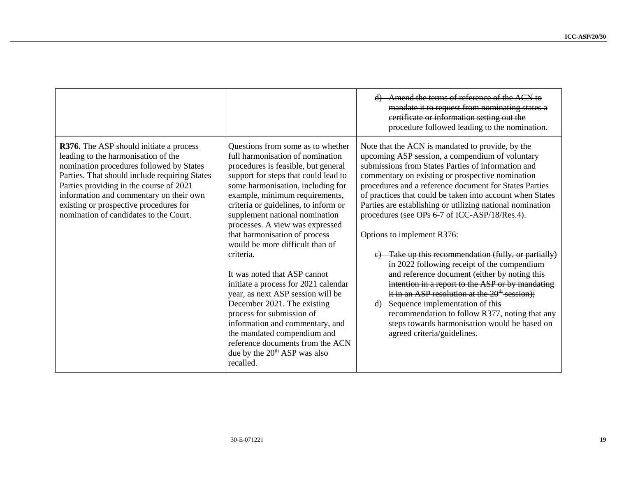|                                                                                                                                                                                                                                                                                                                                                              |                                                                                                                                                                                                                                                                                                                                                                                                                                                                                                                                                                                                                                                                                                                                                                   | d) Amend the terms of reference of the ACN to<br>mandate it to request from nominating states a<br>certificate or information setting out the<br>procedure followed leading to the nomination.                                                                                                                                                                                                                                                                                                                                                                                                                                                                                                                                                                                                                                                                                                                             |
|--------------------------------------------------------------------------------------------------------------------------------------------------------------------------------------------------------------------------------------------------------------------------------------------------------------------------------------------------------------|-------------------------------------------------------------------------------------------------------------------------------------------------------------------------------------------------------------------------------------------------------------------------------------------------------------------------------------------------------------------------------------------------------------------------------------------------------------------------------------------------------------------------------------------------------------------------------------------------------------------------------------------------------------------------------------------------------------------------------------------------------------------|----------------------------------------------------------------------------------------------------------------------------------------------------------------------------------------------------------------------------------------------------------------------------------------------------------------------------------------------------------------------------------------------------------------------------------------------------------------------------------------------------------------------------------------------------------------------------------------------------------------------------------------------------------------------------------------------------------------------------------------------------------------------------------------------------------------------------------------------------------------------------------------------------------------------------|
| <b>R376.</b> The ASP should initiate a process<br>leading to the harmonisation of the<br>nomination procedures followed by States<br>Parties. That should include requiring States<br>Parties providing in the course of 2021<br>information and commentary on their own<br>existing or prospective procedures for<br>nomination of candidates to the Court. | Questions from some as to whether<br>full harmonisation of nomination<br>procedures is feasible, but general<br>support for steps that could lead to<br>some harmonisation, including for<br>example, minimum requirements,<br>criteria or guidelines, to inform or<br>supplement national nomination<br>processes. A view was expressed<br>that harmonisation of process<br>would be more difficult than of<br>criteria.<br>It was noted that ASP cannot<br>initiate a process for 2021 calendar<br>year, as next ASP session will be<br>December 2021. The existing<br>process for submission of<br>information and commentary, and<br>the mandated compendium and<br>reference documents from the ACN<br>due by the 20 <sup>th</sup> ASP was also<br>recalled. | Note that the ACN is mandated to provide, by the<br>upcoming ASP session, a compendium of voluntary<br>submissions from States Parties of information and<br>commentary on existing or prospective nomination<br>procedures and a reference document for States Parties<br>of practices that could be taken into account when States<br>Parties are establishing or utilizing national nomination<br>procedures (see OPs 6-7 of ICC-ASP/18/Res.4).<br>Options to implement R376:<br>e) Take up this recommendation (fully, or partially)<br>in 2022 following receipt of the compendium<br>and reference document (either by noting this<br>intention in a report to the ASP or by mandating<br>it in an ASP resolution at the $20th$ session);<br>Sequence implementation of this<br>d)<br>recommendation to follow R377, noting that any<br>steps towards harmonisation would be based on<br>agreed criteria/guidelines. |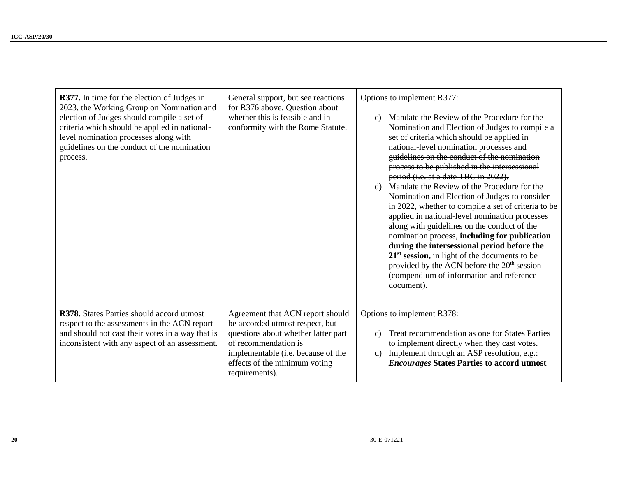| <b>R377.</b> In time for the election of Judges in<br>2023, the Working Group on Nomination and<br>election of Judges should compile a set of<br>criteria which should be applied in national-<br>level nomination processes along with<br>guidelines on the conduct of the nomination<br>process. | General support, but see reactions<br>for R376 above. Question about<br>whether this is feasible and in<br>conformity with the Rome Statute.                                                                                | Options to implement R377:<br>Mandate the Review of the Procedure for the<br>Nomination and Election of Judges to compile a<br>set of criteria which should be applied in<br>national level nomination processes and<br>guidelines on the conduct of the nomination<br>process to be published in the intersessional<br>period (i.e. at a date TBC in 2022).<br>d) Mandate the Review of the Procedure for the<br>Nomination and Election of Judges to consider<br>in 2022, whether to compile a set of criteria to be<br>applied in national-level nomination processes<br>along with guidelines on the conduct of the<br>nomination process, including for publication<br>during the intersessional period before the<br>$21st$ session, in light of the documents to be<br>provided by the ACN before the 20 <sup>th</sup> session<br>(compendium of information and reference<br>document). |
|----------------------------------------------------------------------------------------------------------------------------------------------------------------------------------------------------------------------------------------------------------------------------------------------------|-----------------------------------------------------------------------------------------------------------------------------------------------------------------------------------------------------------------------------|-------------------------------------------------------------------------------------------------------------------------------------------------------------------------------------------------------------------------------------------------------------------------------------------------------------------------------------------------------------------------------------------------------------------------------------------------------------------------------------------------------------------------------------------------------------------------------------------------------------------------------------------------------------------------------------------------------------------------------------------------------------------------------------------------------------------------------------------------------------------------------------------------|
| R378. States Parties should accord utmost<br>respect to the assessments in the ACN report<br>and should not cast their votes in a way that is<br>inconsistent with any aspect of an assessment.                                                                                                    | Agreement that ACN report should<br>be accorded utmost respect, but<br>questions about whether latter part<br>of recommendation is<br>implementable (i.e. because of the<br>effects of the minimum voting<br>requirements). | Options to implement R378:<br>e) Treat recommendation as one for States Parties<br>to implement directly when they cast votes.<br>d) Implement through an ASP resolution, e.g.:<br><b>Encourages States Parties to accord utmost</b>                                                                                                                                                                                                                                                                                                                                                                                                                                                                                                                                                                                                                                                            |